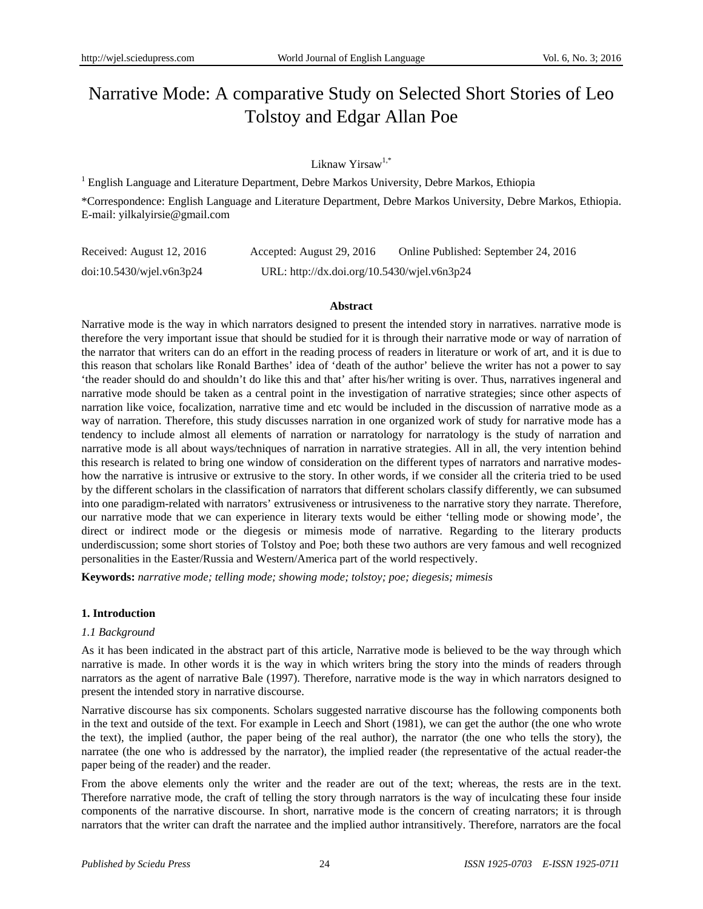# Narrative Mode: A comparative Study on Selected Short Stories of Leo Tolstoy and Edgar Allan Poe

## Liknaw Yirsaw<sup>1,\*</sup>

<sup>1</sup> English Language and Literature Department, Debre Markos University, Debre Markos, Ethiopia \*Correspondence: English Language and Literature Department, Debre Markos University, Debre Markos, Ethiopia. E-mail: yilkalyirsie@gmail.com

Received: August 12, 2016 Accepted: August 29, 2016 Online Published: September 24, 2016 doi:10.5430/wjel.v6n3p24 URL: http://dx.doi.org/10.5430/wjel.v6n3p24

#### **Abstract**

Narrative mode is the way in which narrators designed to present the intended story in narratives. narrative mode is therefore the very important issue that should be studied for it is through their narrative mode or way of narration of the narrator that writers can do an effort in the reading process of readers in literature or work of art, and it is due to this reason that scholars like Ronald Barthes' idea of 'death of the author' believe the writer has not a power to say 'the reader should do and shouldn't do like this and that' after his/her writing is over. Thus, narratives ingeneral and narrative mode should be taken as a central point in the investigation of narrative strategies; since other aspects of narration like voice, focalization, narrative time and etc would be included in the discussion of narrative mode as a way of narration. Therefore, this study discusses narration in one organized work of study for narrative mode has a tendency to include almost all elements of narration or narratology for narratology is the study of narration and narrative mode is all about ways/techniques of narration in narrative strategies. All in all, the very intention behind this research is related to bring one window of consideration on the different types of narrators and narrative modeshow the narrative is intrusive or extrusive to the story. In other words, if we consider all the criteria tried to be used by the different scholars in the classification of narrators that different scholars classify differently, we can subsumed into one paradigm-related with narrators' extrusiveness or intrusiveness to the narrative story they narrate. Therefore, our narrative mode that we can experience in literary texts would be either 'telling mode or showing mode', the direct or indirect mode or the diegesis or mimesis mode of narrative. Regarding to the literary products underdiscussion; some short stories of Tolstoy and Poe; both these two authors are very famous and well recognized personalities in the Easter/Russia and Western/America part of the world respectively.

**Keywords:** *narrative mode; telling mode; showing mode; tolstoy; poe; diegesis; mimesis*

## **1. Introduction**

## *1.1 Background*

As it has been indicated in the abstract part of this article, Narrative mode is believed to be the way through which narrative is made. In other words it is the way in which writers bring the story into the minds of readers through narrators as the agent of narrative Bale (1997). Therefore, narrative mode is the way in which narrators designed to present the intended story in narrative discourse.

Narrative discourse has six components. Scholars suggested narrative discourse has the following components both in the text and outside of the text. For example in Leech and Short (1981), we can get the author (the one who wrote the text), the implied (author, the paper being of the real author), the narrator (the one who tells the story), the narratee (the one who is addressed by the narrator), the implied reader (the representative of the actual reader-the paper being of the reader) and the reader.

From the above elements only the writer and the reader are out of the text; whereas, the rests are in the text. Therefore narrative mode, the craft of telling the story through narrators is the way of inculcating these four inside components of the narrative discourse. In short, narrative mode is the concern of creating narrators; it is through narrators that the writer can draft the narratee and the implied author intransitively. Therefore, narrators are the focal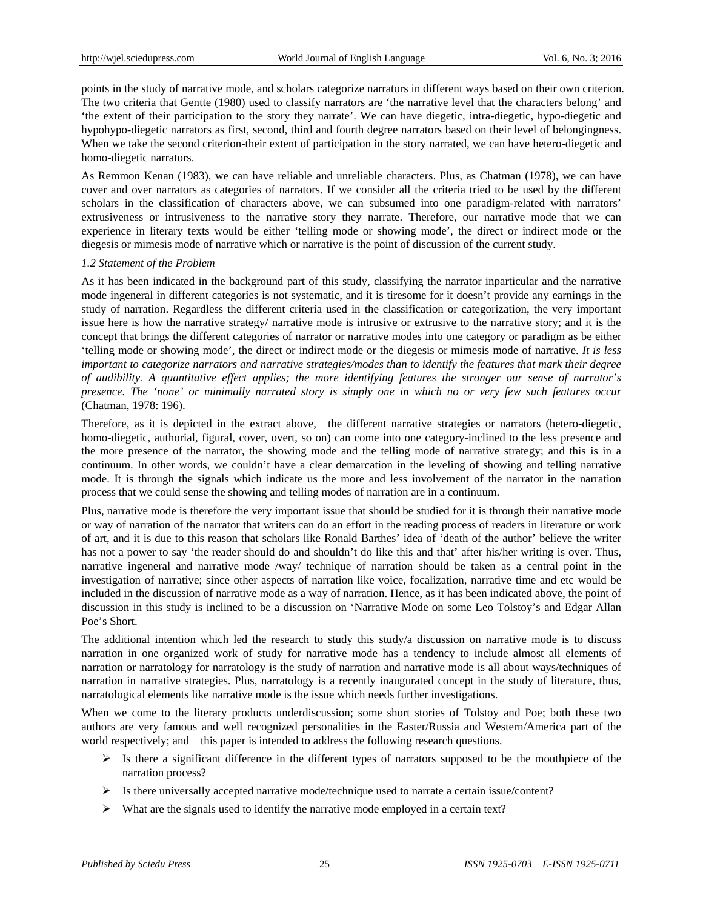points in the study of narrative mode, and scholars categorize narrators in different ways based on their own criterion. The two criteria that Gentte (1980) used to classify narrators are 'the narrative level that the characters belong' and 'the extent of their participation to the story they narrate'. We can have diegetic, intra-diegetic, hypo-diegetic and hypohypo-diegetic narrators as first, second, third and fourth degree narrators based on their level of belongingness. When we take the second criterion-their extent of participation in the story narrated, we can have hetero-diegetic and homo-diegetic narrators.

As Remmon Kenan (1983), we can have reliable and unreliable characters. Plus, as Chatman (1978), we can have cover and over narrators as categories of narrators. If we consider all the criteria tried to be used by the different scholars in the classification of characters above, we can subsumed into one paradigm-related with narrators' extrusiveness or intrusiveness to the narrative story they narrate. Therefore, our narrative mode that we can experience in literary texts would be either 'telling mode or showing mode', the direct or indirect mode or the diegesis or mimesis mode of narrative which or narrative is the point of discussion of the current study.

#### *1.2 Statement of the Problem*

As it has been indicated in the background part of this study, classifying the narrator inparticular and the narrative mode ingeneral in different categories is not systematic, and it is tiresome for it doesn't provide any earnings in the study of narration. Regardless the different criteria used in the classification or categorization, the very important issue here is how the narrative strategy/ narrative mode is intrusive or extrusive to the narrative story; and it is the concept that brings the different categories of narrator or narrative modes into one category or paradigm as be either 'telling mode or showing mode', the direct or indirect mode or the diegesis or mimesis mode of narrative. *It is less important to categorize narrators and narrative strategies/modes than to identify the features that mark their degree of audibility. A quantitative effect applies; the more identifying features the stronger our sense of narrator's presence. The 'none' or minimally narrated story is simply one in which no or very few such features occur* (Chatman, 1978: 196).

Therefore, as it is depicted in the extract above, the different narrative strategies or narrators (hetero-diegetic, homo-diegetic, authorial, figural, cover, overt, so on) can come into one category-inclined to the less presence and the more presence of the narrator, the showing mode and the telling mode of narrative strategy; and this is in a continuum. In other words, we couldn't have a clear demarcation in the leveling of showing and telling narrative mode. It is through the signals which indicate us the more and less involvement of the narrator in the narration process that we could sense the showing and telling modes of narration are in a continuum.

Plus, narrative mode is therefore the very important issue that should be studied for it is through their narrative mode or way of narration of the narrator that writers can do an effort in the reading process of readers in literature or work of art, and it is due to this reason that scholars like Ronald Barthes' idea of 'death of the author' believe the writer has not a power to say 'the reader should do and shouldn't do like this and that' after his/her writing is over. Thus, narrative ingeneral and narrative mode /way/ technique of narration should be taken as a central point in the investigation of narrative; since other aspects of narration like voice, focalization, narrative time and etc would be included in the discussion of narrative mode as a way of narration. Hence, as it has been indicated above, the point of discussion in this study is inclined to be a discussion on 'Narrative Mode on some Leo Tolstoy's and Edgar Allan Poe's Short.

The additional intention which led the research to study this study/a discussion on narrative mode is to discuss narration in one organized work of study for narrative mode has a tendency to include almost all elements of narration or narratology for narratology is the study of narration and narrative mode is all about ways/techniques of narration in narrative strategies. Plus, narratology is a recently inaugurated concept in the study of literature, thus, narratological elements like narrative mode is the issue which needs further investigations.

When we come to the literary products underdiscussion; some short stories of Tolstoy and Poe; both these two authors are very famous and well recognized personalities in the Easter/Russia and Western/America part of the world respectively; and this paper is intended to address the following research questions.

- $\triangleright$  Is there a significant difference in the different types of narrators supposed to be the mouthpiece of the narration process?
- $\triangleright$  Is there universally accepted narrative mode/technique used to narrate a certain issue/content?
- $\triangleright$  What are the signals used to identify the narrative mode employed in a certain text?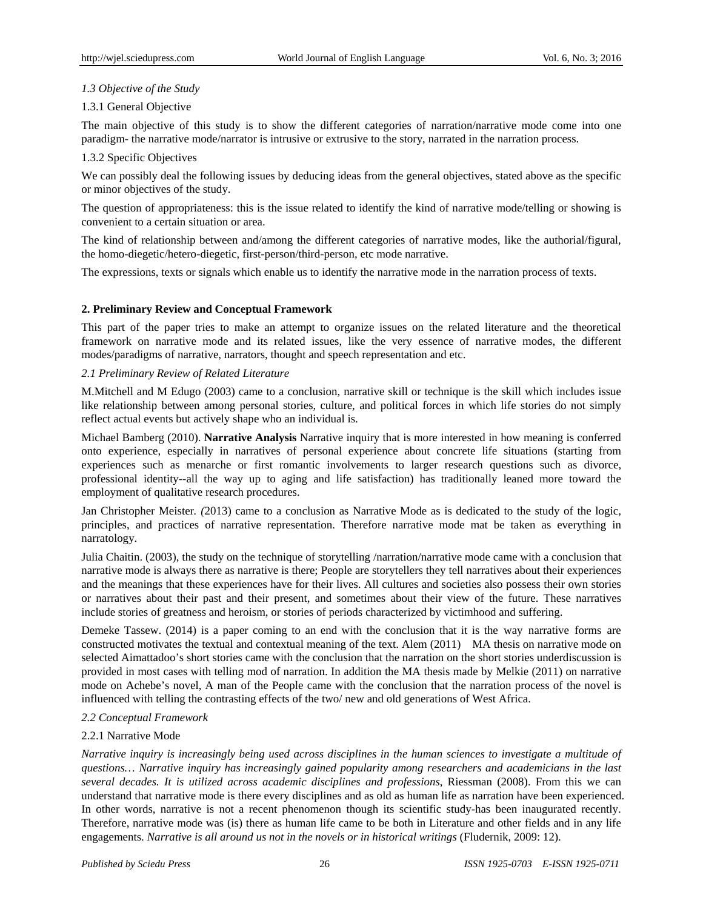## *1.3 Objective of the Study*

## 1.3.1 General Objective

The main objective of this study is to show the different categories of narration/narrative mode come into one paradigm- the narrative mode/narrator is intrusive or extrusive to the story, narrated in the narration process.

## 1.3.2 Specific Objectives

We can possibly deal the following issues by deducing ideas from the general objectives, stated above as the specific or minor objectives of the study.

The question of appropriateness: this is the issue related to identify the kind of narrative mode/telling or showing is convenient to a certain situation or area.

The kind of relationship between and/among the different categories of narrative modes, like the authorial/figural, the homo-diegetic/hetero-diegetic, first-person/third-person, etc mode narrative.

The expressions, texts or signals which enable us to identify the narrative mode in the narration process of texts.

## **2. Preliminary Review and Conceptual Framework**

This part of the paper tries to make an attempt to organize issues on the related literature and the theoretical framework on narrative mode and its related issues, like the very essence of narrative modes, the different modes/paradigms of narrative, narrators, thought and speech representation and etc.

## *2.1 Preliminary Review of Related Literature*

M.Mitchell and M Edugo (2003) came to a conclusion, narrative skill or technique is the skill which includes issue like relationship between among personal stories, culture, and political forces in which life stories do not simply reflect actual events but actively shape who an individual is.

Michael Bamberg (2010). **Narrative Analysis** Narrative inquiry that is more interested in how meaning is conferred onto experience, especially in narratives of personal experience about concrete life situations (starting from experiences such as menarche or first romantic involvements to larger research questions such as divorce, professional identity--all the way up to aging and life satisfaction) has traditionally leaned more toward the employment of qualitative research procedures.

Jan Christopher Meister*. (*2013) came to a conclusion as Narrative Mode as is dedicated to the study of the logic, principles, and practices of narrative representation. Therefore narrative mode mat be taken as everything in narratology.

Julia Chaitin. (2003), the study on the technique of storytelling /narration/narrative mode came with a conclusion that narrative mode is always there as narrative is there; People are storytellers they tell narratives about their experiences and the meanings that these experiences have for their lives. All cultures and societies also possess their own stories or narratives about their past and their present, and sometimes about their view of the future. These narratives include stories of greatness and heroism, or stories of periods characterized by victimhood and suffering.

Demeke Tassew. (2014) is a paper coming to an end with the conclusion that it is the way narrative forms are constructed motivates the textual and contextual meaning of the text. Alem (2011) MA thesis on narrative mode on selected Aimattadoo's short stories came with the conclusion that the narration on the short stories underdiscussion is provided in most cases with telling mod of narration. In addition the MA thesis made by Melkie (2011) on narrative mode on Achebe's novel, A man of the People came with the conclusion that the narration process of the novel is influenced with telling the contrasting effects of the two/ new and old generations of West Africa.

## *2.2 Conceptual Framework*

## 2.2.1 Narrative Mode

*Narrative inquiry is increasingly being used across disciplines in the human sciences to investigate a multitude of questions… Narrative inquiry has increasingly gained popularity among researchers and academicians in the last several decades. It is utilized across academic disciplines and professions*, Riessman (2008). From this we can understand that narrative mode is there every disciplines and as old as human life as narration have been experienced. In other words, narrative is not a recent phenomenon though its scientific study-has been inaugurated recently. Therefore, narrative mode was (is) there as human life came to be both in Literature and other fields and in any life engagements. *Narrative is all around us not in the novels or in historical writings* (Fludernik, 2009: 12).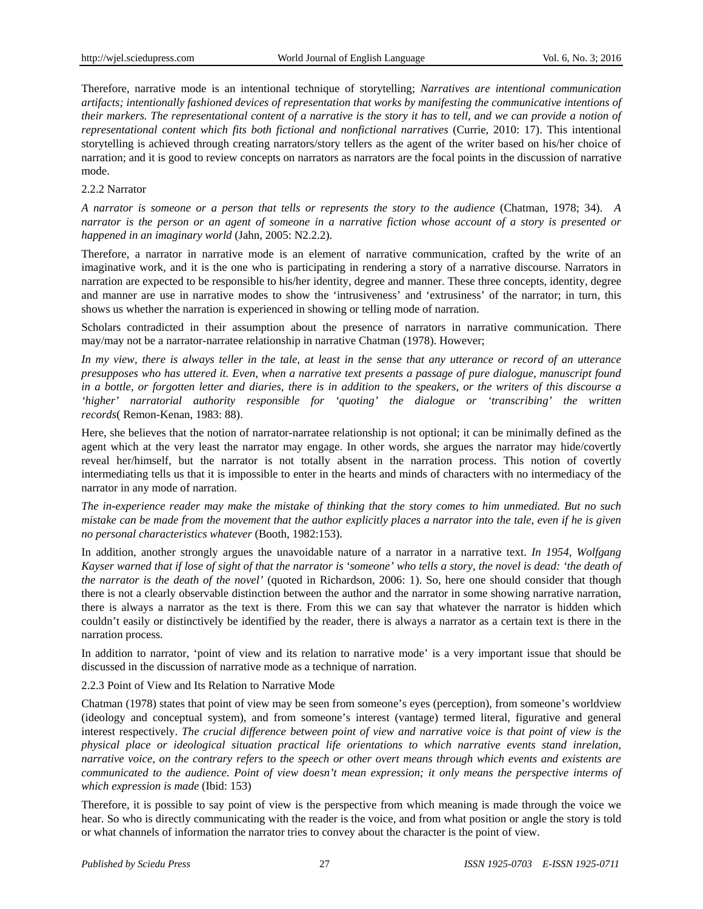Therefore, narrative mode is an intentional technique of storytelling; *Narratives are intentional communication artifacts; intentionally fashioned devices of representation that works by manifesting the communicative intentions of their markers. The representational content of a narrative is the story it has to tell, and we can provide a notion of representational content which fits both fictional and nonfictional narratives* (Currie, 2010: 17). This intentional storytelling is achieved through creating narrators/story tellers as the agent of the writer based on his/her choice of narration; and it is good to review concepts on narrators as narrators are the focal points in the discussion of narrative mode.

#### 2.2.2 Narrator

*A narrator is someone or a person that tells or represents the story to the audience* (Chatman, 1978; 34). *A narrator is the person or an agent of someone in a narrative fiction whose account of a story is presented or happened in an imaginary world* (Jahn, 2005: N2.2.2).

Therefore, a narrator in narrative mode is an element of narrative communication, crafted by the write of an imaginative work, and it is the one who is participating in rendering a story of a narrative discourse. Narrators in narration are expected to be responsible to his/her identity, degree and manner. These three concepts, identity, degree and manner are use in narrative modes to show the 'intrusiveness' and 'extrusiness' of the narrator; in turn, this shows us whether the narration is experienced in showing or telling mode of narration.

Scholars contradicted in their assumption about the presence of narrators in narrative communication. There may/may not be a narrator-narratee relationship in narrative Chatman (1978). However;

*In my view, there is always teller in the tale, at least in the sense that any utterance or record of an utterance presupposes who has uttered it. Even, when a narrative text presents a passage of pure dialogue, manuscript found in a bottle, or forgotten letter and diaries, there is in addition to the speakers, or the writers of this discourse a 'higher' narratorial authority responsible for 'quoting' the dialogue or 'transcribing' the written records*( Remon-Kenan, 1983: 88).

Here, she believes that the notion of narrator-narratee relationship is not optional; it can be minimally defined as the agent which at the very least the narrator may engage. In other words, she argues the narrator may hide/covertly reveal her/himself, but the narrator is not totally absent in the narration process. This notion of covertly intermediating tells us that it is impossible to enter in the hearts and minds of characters with no intermediacy of the narrator in any mode of narration.

*The in-experience reader may make the mistake of thinking that the story comes to him unmediated. But no such mistake can be made from the movement that the author explicitly places a narrator into the tale, even if he is given no personal characteristics whatever* (Booth, 1982:153).

In addition, another strongly argues the unavoidable nature of a narrator in a narrative text. *In 1954, Wolfgang Kayser warned that if lose of sight of that the narrator is 'someone' who tells a story, the novel is dead: 'the death of the narrator is the death of the novel'* (quoted in Richardson, 2006: 1). So, here one should consider that though there is not a clearly observable distinction between the author and the narrator in some showing narrative narration, there is always a narrator as the text is there. From this we can say that whatever the narrator is hidden which couldn't easily or distinctively be identified by the reader, there is always a narrator as a certain text is there in the narration process.

In addition to narrator, 'point of view and its relation to narrative mode' is a very important issue that should be discussed in the discussion of narrative mode as a technique of narration.

2.2.3 Point of View and Its Relation to Narrative Mode

Chatman (1978) states that point of view may be seen from someone's eyes (perception), from someone's worldview (ideology and conceptual system), and from someone's interest (vantage) termed literal, figurative and general interest respectively. *The crucial difference between point of view and narrative voice is that point of view is the physical place or ideological situation practical life orientations to which narrative events stand inrelation, narrative voice, on the contrary refers to the speech or other overt means through which events and existents are communicated to the audience. Point of view doesn't mean expression; it only means the perspective interms of which expression is made* (Ibid: 153)

Therefore, it is possible to say point of view is the perspective from which meaning is made through the voice we hear. So who is directly communicating with the reader is the voice, and from what position or angle the story is told or what channels of information the narrator tries to convey about the character is the point of view.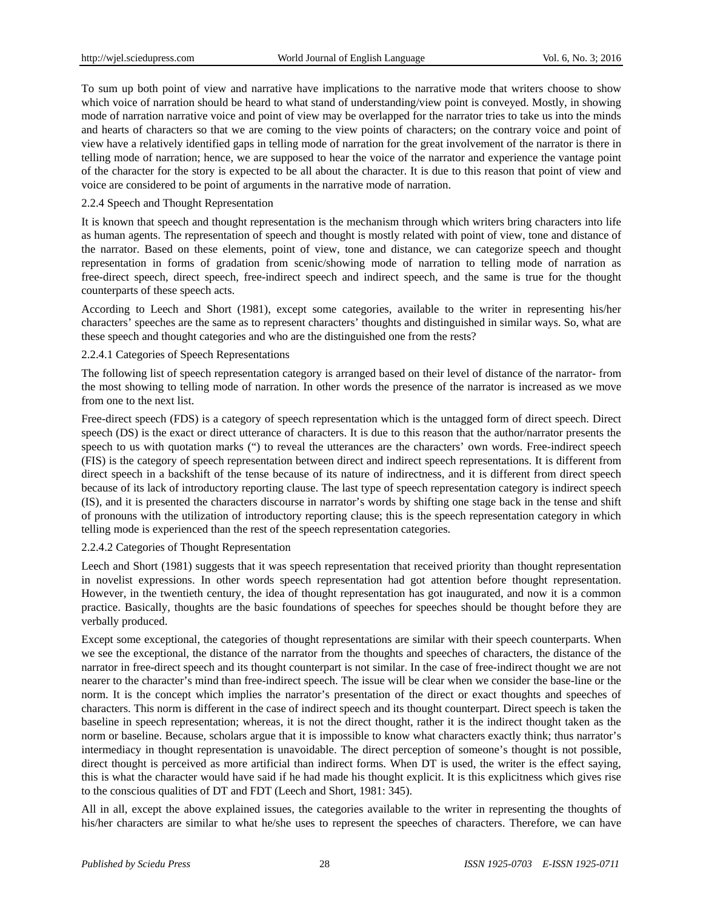To sum up both point of view and narrative have implications to the narrative mode that writers choose to show which voice of narration should be heard to what stand of understanding/view point is conveyed. Mostly, in showing mode of narration narrative voice and point of view may be overlapped for the narrator tries to take us into the minds and hearts of characters so that we are coming to the view points of characters; on the contrary voice and point of view have a relatively identified gaps in telling mode of narration for the great involvement of the narrator is there in telling mode of narration; hence, we are supposed to hear the voice of the narrator and experience the vantage point of the character for the story is expected to be all about the character. It is due to this reason that point of view and voice are considered to be point of arguments in the narrative mode of narration.

#### 2.2.4 Speech and Thought Representation

It is known that speech and thought representation is the mechanism through which writers bring characters into life as human agents. The representation of speech and thought is mostly related with point of view, tone and distance of the narrator. Based on these elements, point of view, tone and distance, we can categorize speech and thought representation in forms of gradation from scenic/showing mode of narration to telling mode of narration as free-direct speech, direct speech, free-indirect speech and indirect speech, and the same is true for the thought counterparts of these speech acts.

According to Leech and Short (1981), except some categories, available to the writer in representing his/her characters' speeches are the same as to represent characters' thoughts and distinguished in similar ways. So, what are these speech and thought categories and who are the distinguished one from the rests?

#### 2.2.4.1 Categories of Speech Representations

The following list of speech representation category is arranged based on their level of distance of the narrator- from the most showing to telling mode of narration. In other words the presence of the narrator is increased as we move from one to the next list.

Free-direct speech (FDS) is a category of speech representation which is the untagged form of direct speech. Direct speech (DS) is the exact or direct utterance of characters. It is due to this reason that the author/narrator presents the speech to us with quotation marks (") to reveal the utterances are the characters' own words. Free-indirect speech (FIS) is the category of speech representation between direct and indirect speech representations. It is different from direct speech in a backshift of the tense because of its nature of indirectness, and it is different from direct speech because of its lack of introductory reporting clause. The last type of speech representation category is indirect speech (IS), and it is presented the characters discourse in narrator's words by shifting one stage back in the tense and shift of pronouns with the utilization of introductory reporting clause; this is the speech representation category in which telling mode is experienced than the rest of the speech representation categories.

#### 2.2.4.2 Categories of Thought Representation

Leech and Short (1981) suggests that it was speech representation that received priority than thought representation in novelist expressions. In other words speech representation had got attention before thought representation. However, in the twentieth century, the idea of thought representation has got inaugurated, and now it is a common practice. Basically, thoughts are the basic foundations of speeches for speeches should be thought before they are verbally produced.

Except some exceptional, the categories of thought representations are similar with their speech counterparts. When we see the exceptional, the distance of the narrator from the thoughts and speeches of characters, the distance of the narrator in free-direct speech and its thought counterpart is not similar. In the case of free-indirect thought we are not nearer to the character's mind than free-indirect speech. The issue will be clear when we consider the base-line or the norm. It is the concept which implies the narrator's presentation of the direct or exact thoughts and speeches of characters. This norm is different in the case of indirect speech and its thought counterpart. Direct speech is taken the baseline in speech representation; whereas, it is not the direct thought, rather it is the indirect thought taken as the norm or baseline. Because, scholars argue that it is impossible to know what characters exactly think; thus narrator's intermediacy in thought representation is unavoidable. The direct perception of someone's thought is not possible, direct thought is perceived as more artificial than indirect forms. When DT is used, the writer is the effect saying, this is what the character would have said if he had made his thought explicit. It is this explicitness which gives rise to the conscious qualities of DT and FDT (Leech and Short, 1981: 345).

All in all, except the above explained issues, the categories available to the writer in representing the thoughts of his/her characters are similar to what he/she uses to represent the speeches of characters. Therefore, we can have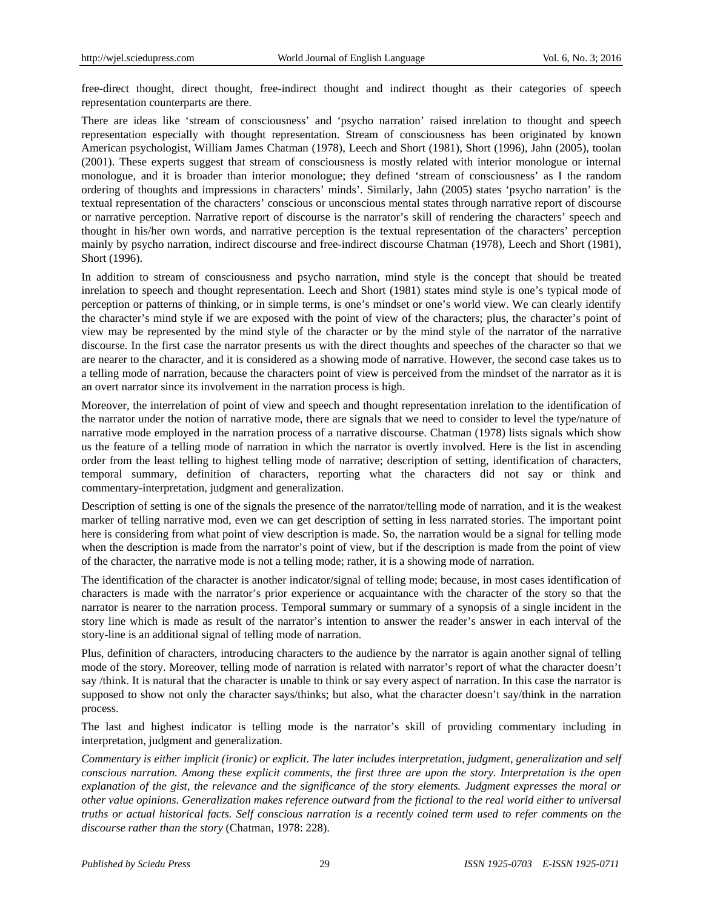free-direct thought, direct thought, free-indirect thought and indirect thought as their categories of speech representation counterparts are there.

There are ideas like 'stream of consciousness' and 'psycho narration' raised inrelation to thought and speech representation especially with thought representation. Stream of consciousness has been originated by known American psychologist, William James Chatman (1978), Leech and Short (1981), Short (1996), Jahn (2005), toolan (2001). These experts suggest that stream of consciousness is mostly related with interior monologue or internal monologue, and it is broader than interior monologue; they defined 'stream of consciousness' as I the random ordering of thoughts and impressions in characters' minds'. Similarly, Jahn (2005) states 'psycho narration' is the textual representation of the characters' conscious or unconscious mental states through narrative report of discourse or narrative perception. Narrative report of discourse is the narrator's skill of rendering the characters' speech and thought in his/her own words, and narrative perception is the textual representation of the characters' perception mainly by psycho narration, indirect discourse and free-indirect discourse Chatman (1978), Leech and Short (1981), Short (1996).

In addition to stream of consciousness and psycho narration, mind style is the concept that should be treated inrelation to speech and thought representation. Leech and Short (1981) states mind style is one's typical mode of perception or patterns of thinking, or in simple terms, is one's mindset or one's world view. We can clearly identify the character's mind style if we are exposed with the point of view of the characters; plus, the character's point of view may be represented by the mind style of the character or by the mind style of the narrator of the narrative discourse. In the first case the narrator presents us with the direct thoughts and speeches of the character so that we are nearer to the character, and it is considered as a showing mode of narrative. However, the second case takes us to a telling mode of narration, because the characters point of view is perceived from the mindset of the narrator as it is an overt narrator since its involvement in the narration process is high.

Moreover, the interrelation of point of view and speech and thought representation inrelation to the identification of the narrator under the notion of narrative mode, there are signals that we need to consider to level the type/nature of narrative mode employed in the narration process of a narrative discourse. Chatman (1978) lists signals which show us the feature of a telling mode of narration in which the narrator is overtly involved. Here is the list in ascending order from the least telling to highest telling mode of narrative; description of setting, identification of characters, temporal summary, definition of characters, reporting what the characters did not say or think and commentary-interpretation, judgment and generalization.

Description of setting is one of the signals the presence of the narrator/telling mode of narration, and it is the weakest marker of telling narrative mod, even we can get description of setting in less narrated stories. The important point here is considering from what point of view description is made. So, the narration would be a signal for telling mode when the description is made from the narrator's point of view, but if the description is made from the point of view of the character, the narrative mode is not a telling mode; rather, it is a showing mode of narration.

The identification of the character is another indicator/signal of telling mode; because, in most cases identification of characters is made with the narrator's prior experience or acquaintance with the character of the story so that the narrator is nearer to the narration process. Temporal summary or summary of a synopsis of a single incident in the story line which is made as result of the narrator's intention to answer the reader's answer in each interval of the story-line is an additional signal of telling mode of narration.

Plus, definition of characters, introducing characters to the audience by the narrator is again another signal of telling mode of the story. Moreover, telling mode of narration is related with narrator's report of what the character doesn't say /think. It is natural that the character is unable to think or say every aspect of narration. In this case the narrator is supposed to show not only the character says/thinks; but also, what the character doesn't say/think in the narration process.

The last and highest indicator is telling mode is the narrator's skill of providing commentary including in interpretation, judgment and generalization.

*Commentary is either implicit (ironic) or explicit. The later includes interpretation, judgment, generalization and self conscious narration. Among these explicit comments, the first three are upon the story. Interpretation is the open explanation of the gist, the relevance and the significance of the story elements. Judgment expresses the moral or other value opinions. Generalization makes reference outward from the fictional to the real world either to universal truths or actual historical facts. Self conscious narration is a recently coined term used to refer comments on the discourse rather than the story* (Chatman, 1978: 228).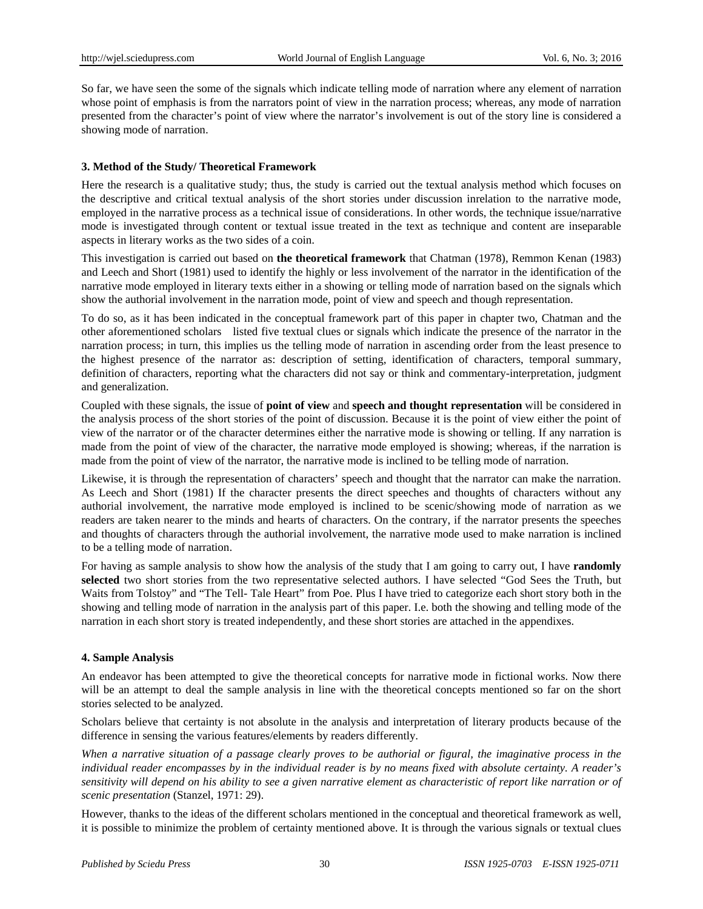So far, we have seen the some of the signals which indicate telling mode of narration where any element of narration whose point of emphasis is from the narrators point of view in the narration process; whereas, any mode of narration presented from the character's point of view where the narrator's involvement is out of the story line is considered a showing mode of narration.

## **3. Method of the Study/ Theoretical Framework**

Here the research is a qualitative study; thus, the study is carried out the textual analysis method which focuses on the descriptive and critical textual analysis of the short stories under discussion inrelation to the narrative mode, employed in the narrative process as a technical issue of considerations. In other words, the technique issue/narrative mode is investigated through content or textual issue treated in the text as technique and content are inseparable aspects in literary works as the two sides of a coin.

This investigation is carried out based on **the theoretical framework** that Chatman (1978), Remmon Kenan (1983) and Leech and Short (1981) used to identify the highly or less involvement of the narrator in the identification of the narrative mode employed in literary texts either in a showing or telling mode of narration based on the signals which show the authorial involvement in the narration mode, point of view and speech and though representation.

To do so, as it has been indicated in the conceptual framework part of this paper in chapter two, Chatman and the other aforementioned scholars listed five textual clues or signals which indicate the presence of the narrator in the narration process; in turn, this implies us the telling mode of narration in ascending order from the least presence to the highest presence of the narrator as: description of setting, identification of characters, temporal summary, definition of characters, reporting what the characters did not say or think and commentary-interpretation, judgment and generalization.

Coupled with these signals, the issue of **point of view** and **speech and thought representation** will be considered in the analysis process of the short stories of the point of discussion. Because it is the point of view either the point of view of the narrator or of the character determines either the narrative mode is showing or telling. If any narration is made from the point of view of the character, the narrative mode employed is showing; whereas, if the narration is made from the point of view of the narrator, the narrative mode is inclined to be telling mode of narration.

Likewise, it is through the representation of characters' speech and thought that the narrator can make the narration. As Leech and Short (1981) If the character presents the direct speeches and thoughts of characters without any authorial involvement, the narrative mode employed is inclined to be scenic/showing mode of narration as we readers are taken nearer to the minds and hearts of characters. On the contrary, if the narrator presents the speeches and thoughts of characters through the authorial involvement, the narrative mode used to make narration is inclined to be a telling mode of narration.

For having as sample analysis to show how the analysis of the study that I am going to carry out, I have **randomly selected** two short stories from the two representative selected authors. I have selected "God Sees the Truth, but Waits from Tolstoy" and "The Tell- Tale Heart" from Poe. Plus I have tried to categorize each short story both in the showing and telling mode of narration in the analysis part of this paper. I.e. both the showing and telling mode of the narration in each short story is treated independently, and these short stories are attached in the appendixes.

## **4. Sample Analysis**

An endeavor has been attempted to give the theoretical concepts for narrative mode in fictional works. Now there will be an attempt to deal the sample analysis in line with the theoretical concepts mentioned so far on the short stories selected to be analyzed.

Scholars believe that certainty is not absolute in the analysis and interpretation of literary products because of the difference in sensing the various features/elements by readers differently.

*When a narrative situation of a passage clearly proves to be authorial or figural, the imaginative process in the individual reader encompasses by in the individual reader is by no means fixed with absolute certainty. A reader's sensitivity will depend on his ability to see a given narrative element as characteristic of report like narration or of scenic presentation* (Stanzel, 1971: 29).

However, thanks to the ideas of the different scholars mentioned in the conceptual and theoretical framework as well, it is possible to minimize the problem of certainty mentioned above. It is through the various signals or textual clues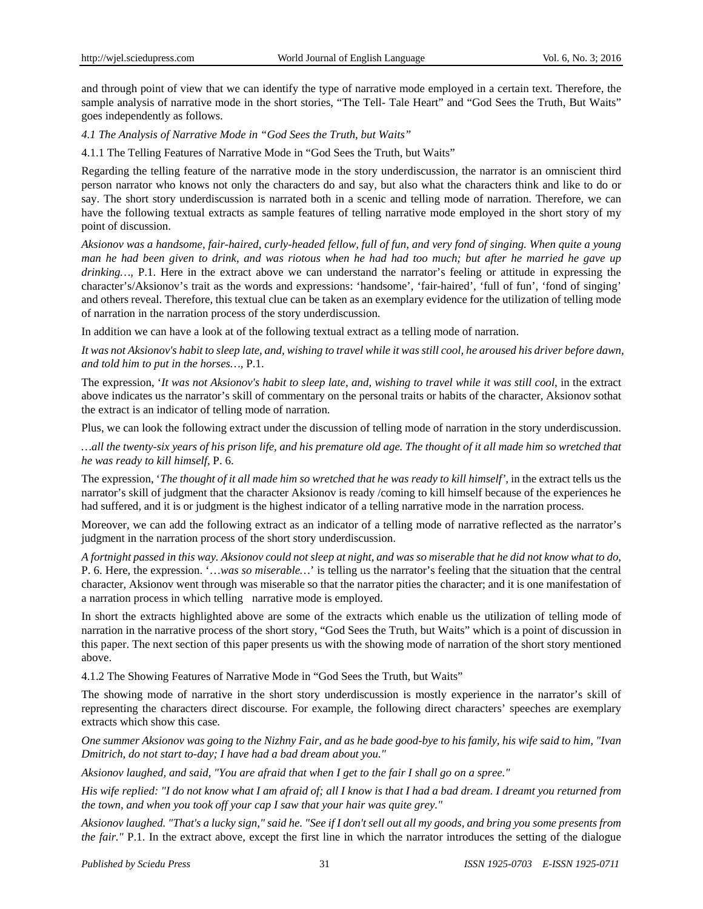and through point of view that we can identify the type of narrative mode employed in a certain text. Therefore, the sample analysis of narrative mode in the short stories, "The Tell- Tale Heart" and "God Sees the Truth, But Waits" goes independently as follows.

*4.1 The Analysis of Narrative Mode in "God Sees the Truth, but Waits"* 

4.1.1 The Telling Features of Narrative Mode in "God Sees the Truth, but Waits"

Regarding the telling feature of the narrative mode in the story underdiscussion, the narrator is an omniscient third person narrator who knows not only the characters do and say, but also what the characters think and like to do or say. The short story underdiscussion is narrated both in a scenic and telling mode of narration. Therefore, we can have the following textual extracts as sample features of telling narrative mode employed in the short story of my point of discussion.

*Aksionov was a handsome, fair-haired, curly-headed fellow, full of fun, and very fond of singing. When quite a young man he had been given to drink, and was riotous when he had had too much; but after he married he gave up drinking...,* P.1. Here in the extract above we can understand the narrator's feeling or attitude in expressing the character's/Aksionov's trait as the words and expressions: 'handsome', 'fair-haired', 'full of fun', 'fond of singing' and others reveal. Therefore, this textual clue can be taken as an exemplary evidence for the utilization of telling mode of narration in the narration process of the story underdiscussion.

In addition we can have a look at of the following textual extract as a telling mode of narration.

*It was not Aksionov's habit to sleep late, and, wishing to travel while it was still cool, he aroused his driver before dawn, and told him to put in the horses…,* P.1.

The expression, '*It was not Aksionov's habit to sleep late, and, wishing to travel while it was still cool,* in the extract above indicates us the narrator's skill of commentary on the personal traits or habits of the character, Aksionov sothat the extract is an indicator of telling mode of narration.

Plus, we can look the following extract under the discussion of telling mode of narration in the story underdiscussion.

*…all the twenty-six years of his prison life, and his premature old age. The thought of it all made him so wretched that he was ready to kill himself,* P. 6.

The expression, '*The thought of it all made him so wretched that he was ready to kill himself'*, in the extract tells us the narrator's skill of judgment that the character Aksionov is ready /coming to kill himself because of the experiences he had suffered, and it is or judgment is the highest indicator of a telling narrative mode in the narration process.

Moreover, we can add the following extract as an indicator of a telling mode of narrative reflected as the narrator's judgment in the narration process of the short story underdiscussion.

*A fortnight passed in this way. Aksionov could not sleep at night, and was so miserable that he did not know what to do,* P. 6. Here, the expression. '…*was so miserable…*' is telling us the narrator's feeling that the situation that the central character, Aksionov went through was miserable so that the narrator pities the character; and it is one manifestation of a narration process in which telling narrative mode is employed.

In short the extracts highlighted above are some of the extracts which enable us the utilization of telling mode of narration in the narrative process of the short story, "God Sees the Truth, but Waits" which is a point of discussion in this paper. The next section of this paper presents us with the showing mode of narration of the short story mentioned above.

4.1.2 The Showing Features of Narrative Mode in "God Sees the Truth, but Waits"

The showing mode of narrative in the short story underdiscussion is mostly experience in the narrator's skill of representing the characters direct discourse. For example, the following direct characters' speeches are exemplary extracts which show this case.

*One summer Aksionov was going to the Nizhny Fair, and as he bade good-bye to his family, his wife said to him, "Ivan Dmitrich, do not start to-day; I have had a bad dream about you."* 

*Aksionov laughed, and said, "You are afraid that when I get to the fair I shall go on a spree."* 

*His wife replied: "I do not know what I am afraid of; all I know is that I had a bad dream. I dreamt you returned from the town, and when you took off your cap I saw that your hair was quite grey."* 

*Aksionov laughed. "That's a lucky sign," said he. "See if I don't sell out all my goods, and bring you some presents from the fair.*" P.1. In the extract above, except the first line in which the narrator introduces the setting of the dialogue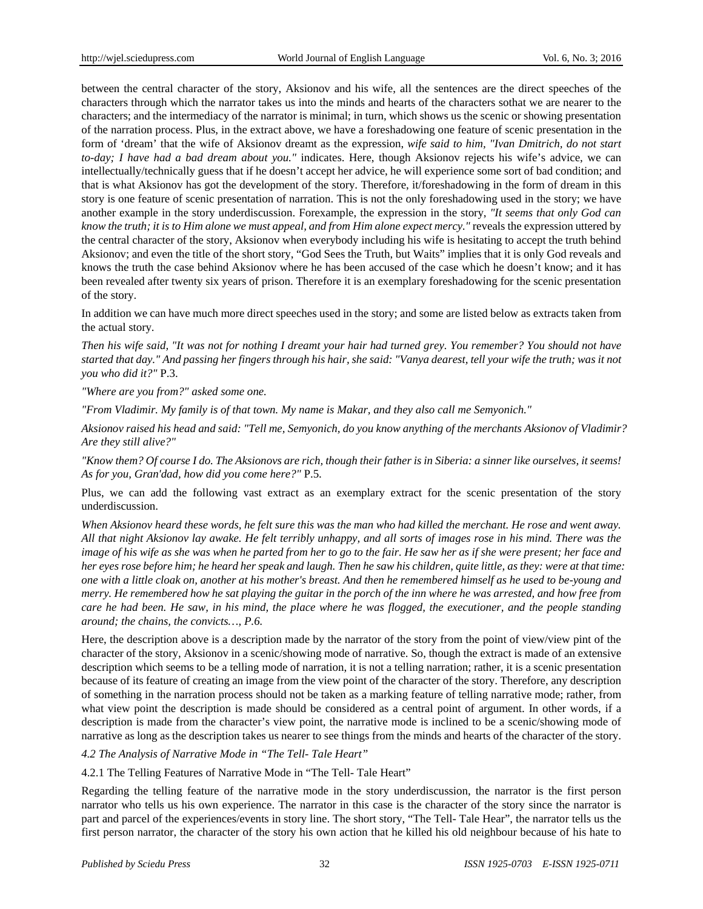between the central character of the story, Aksionov and his wife, all the sentences are the direct speeches of the characters through which the narrator takes us into the minds and hearts of the characters sothat we are nearer to the characters; and the intermediacy of the narrator is minimal; in turn, which shows us the scenic or showing presentation of the narration process. Plus, in the extract above, we have a foreshadowing one feature of scenic presentation in the form of 'dream' that the wife of Aksionov dreamt as the expression, *wife said to him, "Ivan Dmitrich, do not start to-day; I have had a bad dream about you."* indicates. Here, though Aksionov rejects his wife's advice, we can intellectually/technically guess that if he doesn't accept her advice, he will experience some sort of bad condition; and that is what Aksionov has got the development of the story. Therefore, it/foreshadowing in the form of dream in this story is one feature of scenic presentation of narration. This is not the only foreshadowing used in the story; we have another example in the story underdiscussion. Forexample, the expression in the story, *"It seems that only God can know the truth; it is to Him alone we must appeal, and from Him alone expect mercy."* reveals the expression uttered by the central character of the story, Aksionov when everybody including his wife is hesitating to accept the truth behind Aksionov; and even the title of the short story, "God Sees the Truth, but Waits" implies that it is only God reveals and knows the truth the case behind Aksionov where he has been accused of the case which he doesn't know; and it has been revealed after twenty six years of prison. Therefore it is an exemplary foreshadowing for the scenic presentation of the story.

In addition we can have much more direct speeches used in the story; and some are listed below as extracts taken from the actual story.

*Then his wife said, "It was not for nothing I dreamt your hair had turned grey. You remember? You should not have started that day." And passing her fingers through his hair, she said: "Vanya dearest, tell your wife the truth; was it not you who did it?"* P.3.

*"Where are you from?" asked some one.* 

*"From Vladimir. My family is of that town. My name is Makar, and they also call me Semyonich."* 

*Aksionov raised his head and said: "Tell me, Semyonich, do you know anything of the merchants Aksionov of Vladimir? Are they still alive?"* 

*"Know them? Of course I do. The Aksionovs are rich, though their father is in Siberia: a sinner like ourselves, it seems! As for you, Gran'dad, how did you come here?"* P.5.

Plus, we can add the following vast extract as an exemplary extract for the scenic presentation of the story underdiscussion.

*When Aksionov heard these words, he felt sure this was the man who had killed the merchant. He rose and went away. All that night Aksionov lay awake. He felt terribly unhappy, and all sorts of images rose in his mind. There was the image of his wife as she was when he parted from her to go to the fair. He saw her as if she were present; her face and her eyes rose before him; he heard her speak and laugh. Then he saw his children, quite little, as they: were at that time: one with a little cloak on, another at his mother's breast. And then he remembered himself as he used to be-young and merry. He remembered how he sat playing the guitar in the porch of the inn where he was arrested, and how free from care he had been. He saw, in his mind, the place where he was flogged, the executioner, and the people standing around; the chains, the convicts…, P.6.* 

Here, the description above is a description made by the narrator of the story from the point of view/view pint of the character of the story, Aksionov in a scenic/showing mode of narrative. So, though the extract is made of an extensive description which seems to be a telling mode of narration, it is not a telling narration; rather, it is a scenic presentation because of its feature of creating an image from the view point of the character of the story. Therefore, any description of something in the narration process should not be taken as a marking feature of telling narrative mode; rather, from what view point the description is made should be considered as a central point of argument. In other words, if a description is made from the character's view point, the narrative mode is inclined to be a scenic/showing mode of narrative as long as the description takes us nearer to see things from the minds and hearts of the character of the story.

*4.2 The Analysis of Narrative Mode in "The Tell- Tale Heart"* 

4.2.1 The Telling Features of Narrative Mode in "The Tell- Tale Heart"

Regarding the telling feature of the narrative mode in the story underdiscussion, the narrator is the first person narrator who tells us his own experience. The narrator in this case is the character of the story since the narrator is part and parcel of the experiences/events in story line. The short story, "The Tell- Tale Hear", the narrator tells us the first person narrator, the character of the story his own action that he killed his old neighbour because of his hate to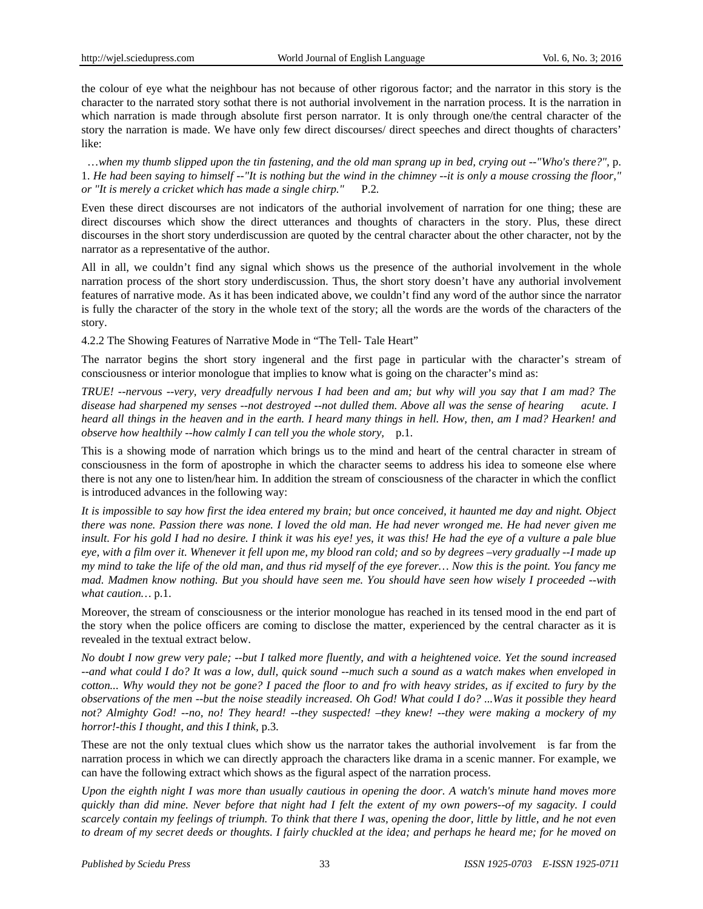the colour of eye what the neighbour has not because of other rigorous factor; and the narrator in this story is the character to the narrated story sothat there is not authorial involvement in the narration process. It is the narration in which narration is made through absolute first person narrator. It is only through one/the central character of the story the narration is made. We have only few direct discourses/ direct speeches and direct thoughts of characters' like:

…*when my thumb slipped upon the tin fastening, and the old man sprang up in bed, crying out --"Who's there?",* p. 1. *He had been saying to himself --"It is nothing but the wind in the chimney --it is only a mouse crossing the floor," or "It is merely a cricket which has made a single chirp."* P.2*.* 

Even these direct discourses are not indicators of the authorial involvement of narration for one thing; these are direct discourses which show the direct utterances and thoughts of characters in the story. Plus, these direct discourses in the short story underdiscussion are quoted by the central character about the other character, not by the narrator as a representative of the author.

All in all, we couldn't find any signal which shows us the presence of the authorial involvement in the whole narration process of the short story underdiscussion. Thus, the short story doesn't have any authorial involvement features of narrative mode. As it has been indicated above, we couldn't find any word of the author since the narrator is fully the character of the story in the whole text of the story; all the words are the words of the characters of the story.

4.2.2 The Showing Features of Narrative Mode in "The Tell- Tale Heart"

The narrator begins the short story ingeneral and the first page in particular with the character's stream of consciousness or interior monologue that implies to know what is going on the character's mind as:

*TRUE! --nervous --very, very dreadfully nervous I had been and am; but why will you say that I am mad? The disease had sharpened my senses --not destroyed --not dulled them. Above all was the sense of hearing acute. I heard all things in the heaven and in the earth. I heard many things in hell. How, then, am I mad? Hearken! and observe how healthily --how calmly I can tell you the whole story, p.1.* 

This is a showing mode of narration which brings us to the mind and heart of the central character in stream of consciousness in the form of apostrophe in which the character seems to address his idea to someone else where there is not any one to listen/hear him. In addition the stream of consciousness of the character in which the conflict is introduced advances in the following way:

*It is impossible to say how first the idea entered my brain; but once conceived, it haunted me day and night. Object there was none. Passion there was none. I loved the old man. He had never wronged me. He had never given me insult. For his gold I had no desire. I think it was his eye! yes, it was this! He had the eye of a vulture a pale blue eye, with a film over it. Whenever it fell upon me, my blood ran cold; and so by degrees –very gradually --I made up my mind to take the life of the old man, and thus rid myself of the eye forever… Now this is the point. You fancy me mad. Madmen know nothing. But you should have seen me. You should have seen how wisely I proceeded --with what caution…* p.1.

Moreover, the stream of consciousness or the interior monologue has reached in its tensed mood in the end part of the story when the police officers are coming to disclose the matter, experienced by the central character as it is revealed in the textual extract below.

*No doubt I now grew very pale; --but I talked more fluently, and with a heightened voice. Yet the sound increased --and what could I do? It was a low, dull, quick sound --much such a sound as a watch makes when enveloped in cotton... Why would they not be gone? I paced the floor to and fro with heavy strides, as if excited to fury by the observations of the men --but the noise steadily increased. Oh God! What could I do? ...Was it possible they heard not? Almighty God! --no, no! They heard! --they suspected! –they knew! --they were making a mockery of my horror!-this I thought, and this I think,* p.3.

These are not the only textual clues which show us the narrator takes the authorial involvement is far from the narration process in which we can directly approach the characters like drama in a scenic manner. For example, we can have the following extract which shows as the figural aspect of the narration process.

*Upon the eighth night I was more than usually cautious in opening the door. A watch's minute hand moves more quickly than did mine. Never before that night had I felt the extent of my own powers--of my sagacity. I could scarcely contain my feelings of triumph. To think that there I was, opening the door, little by little, and he not even to dream of my secret deeds or thoughts. I fairly chuckled at the idea; and perhaps he heard me; for he moved on*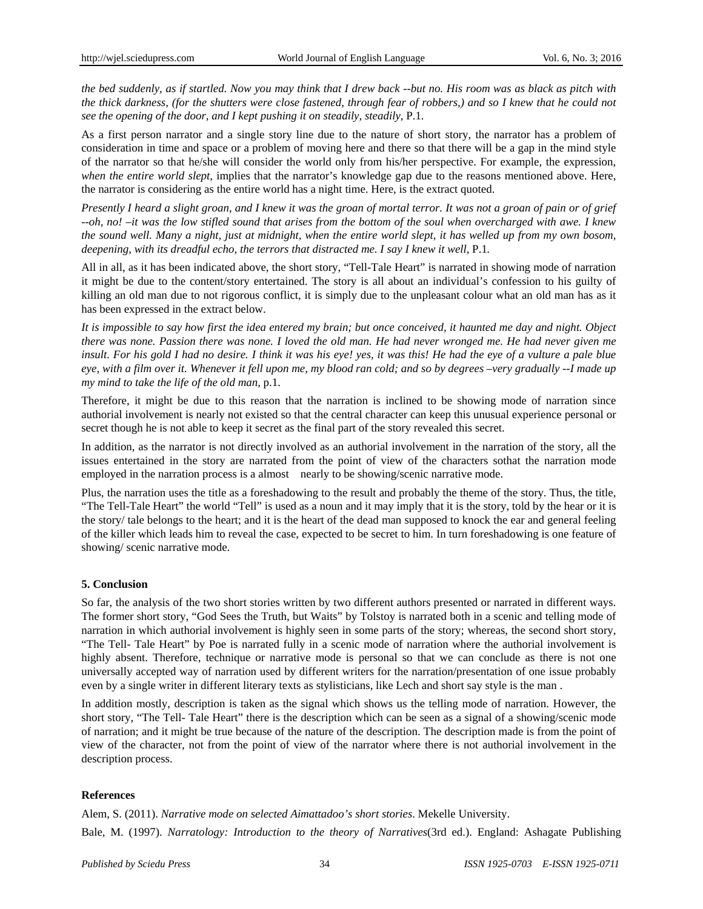*the bed suddenly, as if startled. Now you may think that I drew back --but no. His room was as black as pitch with the thick darkness, (for the shutters were close fastened, through fear of robbers,) and so I knew that he could not see the opening of the door, and I kept pushing it on steadily, steadily,* P.1.

As a first person narrator and a single story line due to the nature of short story, the narrator has a problem of consideration in time and space or a problem of moving here and there so that there will be a gap in the mind style of the narrator so that he/she will consider the world only from his/her perspective. For example, the expression, *when the entire world slept,* implies that the narrator's knowledge gap due to the reasons mentioned above. Here, the narrator is considering as the entire world has a night time. Here, is the extract quoted.

*Presently I heard a slight groan, and I knew it was the groan of mortal terror. It was not a groan of pain or of grief --oh, no! –it was the low stifled sound that arises from the bottom of the soul when overcharged with awe. I knew the sound well. Many a night, just at midnight, when the entire world slept, it has welled up from my own bosom, deepening, with its dreadful echo, the terrors that distracted me. I say I knew it well, P.1.* 

All in all, as it has been indicated above, the short story, "Tell-Tale Heart" is narrated in showing mode of narration it might be due to the content/story entertained. The story is all about an individual's confession to his guilty of killing an old man due to not rigorous conflict, it is simply due to the unpleasant colour what an old man has as it has been expressed in the extract below.

*It is impossible to say how first the idea entered my brain; but once conceived, it haunted me day and night. Object there was none. Passion there was none. I loved the old man. He had never wronged me. He had never given me insult. For his gold I had no desire. I think it was his eye! yes, it was this! He had the eye of a vulture a pale blue eye, with a film over it. Whenever it fell upon me, my blood ran cold; and so by degrees –very gradually --I made up my mind to take the life of the old man,* p.1.

Therefore, it might be due to this reason that the narration is inclined to be showing mode of narration since authorial involvement is nearly not existed so that the central character can keep this unusual experience personal or secret though he is not able to keep it secret as the final part of the story revealed this secret.

In addition, as the narrator is not directly involved as an authorial involvement in the narration of the story, all the issues entertained in the story are narrated from the point of view of the characters sothat the narration mode employed in the narration process is a almost nearly to be showing/scenic narrative mode.

Plus, the narration uses the title as a foreshadowing to the result and probably the theme of the story. Thus, the title, "The Tell-Tale Heart" the world "Tell" is used as a noun and it may imply that it is the story, told by the hear or it is the story/ tale belongs to the heart; and it is the heart of the dead man supposed to knock the ear and general feeling of the killer which leads him to reveal the case, expected to be secret to him. In turn foreshadowing is one feature of showing/ scenic narrative mode.

#### **5. Conclusion**

So far, the analysis of the two short stories written by two different authors presented or narrated in different ways. The former short story, "God Sees the Truth, but Waits" by Tolstoy is narrated both in a scenic and telling mode of narration in which authorial involvement is highly seen in some parts of the story; whereas, the second short story, "The Tell- Tale Heart" by Poe is narrated fully in a scenic mode of narration where the authorial involvement is highly absent. Therefore, technique or narrative mode is personal so that we can conclude as there is not one universally accepted way of narration used by different writers for the narration/presentation of one issue probably even by a single writer in different literary texts as stylisticians, like Lech and short say style is the man .

In addition mostly, description is taken as the signal which shows us the telling mode of narration. However, the short story, "The Tell- Tale Heart" there is the description which can be seen as a signal of a showing/scenic mode of narration; and it might be true because of the nature of the description. The description made is from the point of view of the character, not from the point of view of the narrator where there is not authorial involvement in the description process.

#### **References**

Alem, S. (2011). *Narrative mode on selected Aimattadoo's short stories*. Mekelle University.

Bale, M. (1997). *Narratology: Introduction to the theory of Narratives*(3rd ed.). England: Ashagate Publishing